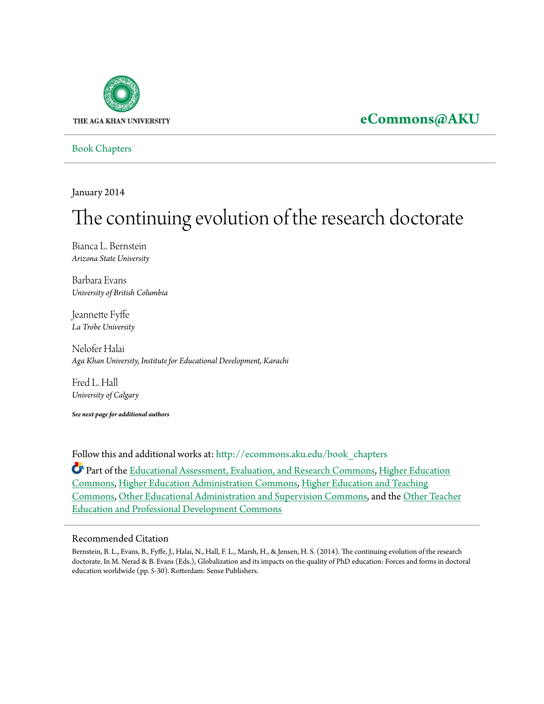

# **[eCommons@AKU](http://ecommons.aku.edu?utm_source=ecommons.aku.edu%2Fbook_chapters%2F161&utm_medium=PDF&utm_campaign=PDFCoverPages)**

[Book Chapters](http://ecommons.aku.edu/book_chapters?utm_source=ecommons.aku.edu%2Fbook_chapters%2F161&utm_medium=PDF&utm_campaign=PDFCoverPages)

January 2014

# The continuing evolution of the research doctorate

Bianca L. Bernstein *Arizona State University*

Barbara Evans *University of British Columbia*

Jeannette Fyffe *La Trobe University*

Nelofer Halai *Aga Khan University, Institute for Educational Development, Karachi*

Fred L. Hall *University of Calgary*

*See next page for additional authors*

Follow this and additional works at: [http://ecommons.aku.edu/book\\_chapters](http://ecommons.aku.edu/book_chapters?utm_source=ecommons.aku.edu%2Fbook_chapters%2F161&utm_medium=PDF&utm_campaign=PDFCoverPages)

Part of the [Educational Assessment, Evaluation, and Research Commons,](http://network.bepress.com/hgg/discipline/796?utm_source=ecommons.aku.edu%2Fbook_chapters%2F161&utm_medium=PDF&utm_campaign=PDFCoverPages) [Higher Education](http://network.bepress.com/hgg/discipline/1245?utm_source=ecommons.aku.edu%2Fbook_chapters%2F161&utm_medium=PDF&utm_campaign=PDFCoverPages) [Commons,](http://network.bepress.com/hgg/discipline/1245?utm_source=ecommons.aku.edu%2Fbook_chapters%2F161&utm_medium=PDF&utm_campaign=PDFCoverPages) [Higher Education Administration Commons,](http://network.bepress.com/hgg/discipline/791?utm_source=ecommons.aku.edu%2Fbook_chapters%2F161&utm_medium=PDF&utm_campaign=PDFCoverPages) [Higher Education and Teaching](http://network.bepress.com/hgg/discipline/806?utm_source=ecommons.aku.edu%2Fbook_chapters%2F161&utm_medium=PDF&utm_campaign=PDFCoverPages) [Commons,](http://network.bepress.com/hgg/discipline/806?utm_source=ecommons.aku.edu%2Fbook_chapters%2F161&utm_medium=PDF&utm_campaign=PDFCoverPages) [Other Educational Administration and Supervision Commons](http://network.bepress.com/hgg/discipline/794?utm_source=ecommons.aku.edu%2Fbook_chapters%2F161&utm_medium=PDF&utm_campaign=PDFCoverPages), and the [Other Teacher](http://network.bepress.com/hgg/discipline/810?utm_source=ecommons.aku.edu%2Fbook_chapters%2F161&utm_medium=PDF&utm_campaign=PDFCoverPages) [Education and Professional Development Commons](http://network.bepress.com/hgg/discipline/810?utm_source=ecommons.aku.edu%2Fbook_chapters%2F161&utm_medium=PDF&utm_campaign=PDFCoverPages)

# Recommended Citation

Bernstein, B. L., Evans, B., Fyffe, J., Halai, N., Hall, F. L., Marsh, H., & Jensen, H. S. (2014). The continuing evolution of the research doctorate. In M. Nerad & B. Evans (Eds.), Globalization and its impacts on the quality of PhD education: Forces and forms in doctoral education worldwide (pp. 5-30). Rotterdam: Sense Publishers.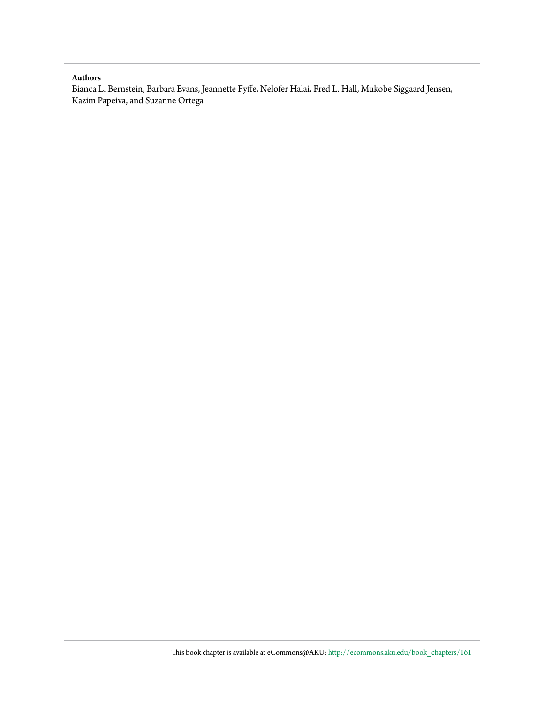# **Authors**

Bianca L. Bernstein, Barbara Evans, Jeannette Fyffe, Nelofer Halai, Fred L. Hall, Mukobe Siggaard Jensen, Kazim Papeiva, and Suzanne Ortega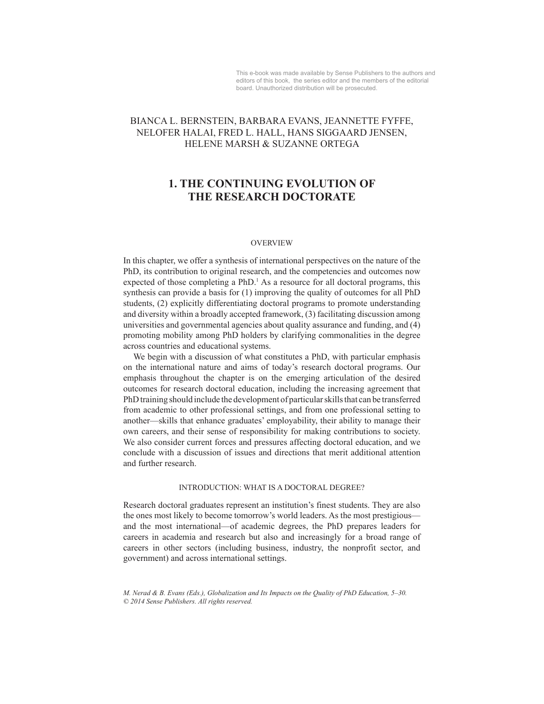# BIANCA L. BERNSTEIN, BARBARA EVANS, JEANNETTE FYFFE, NELOFER HALAI, FRED L. HALL, HANS SIGGAARD JENSEN, HELENE MARSH & SUZANNE ORTEGA

# **1. THE CONTINUING EVOLUTION OF THE RESEARCH DOCTORATE**

#### OVERVIEW

In this chapter, we offer a synthesis of international perspectives on the nature of the PhD, its contribution to original research, and the competencies and outcomes now expected of those completing a PhD.<sup>1</sup> As a resource for all doctoral programs, this synthesis can provide a basis for (1) improving the quality of outcomes for all PhD students, (2) explicitly differentiating doctoral programs to promote understanding and diversity within a broadly accepted framework, (3) facilitating discussion among universities and governmental agencies about quality assurance and funding, and (4) promoting mobility among PhD holders by clarifying commonalities in the degree across countries and educational systems.

We begin with a discussion of what constitutes a PhD, with particular emphasis on the international nature and aims of today's research doctoral programs. Our emphasis throughout the chapter is on the emerging articulation of the desired outcomes for research doctoral education, including the increasing agreement that PhD training should include the development of particular skills that can be transferred from academic to other professional settings, and from one professional setting to another—skills that enhance graduates' employability, their ability to manage their own careers, and their sense of responsibility for making contributions to society. We also consider current forces and pressures affecting doctoral education, and we conclude with a discussion of issues and directions that merit additional attention and further research.

#### INTRODUCTION: WHAT IS A DOCTORAL DEGREE?

Research doctoral graduates represent an institution's finest students. They are also the ones most likely to become tomorrow's world leaders. As the most prestigious and the most international—of academic degrees, the PhD prepares leaders for careers in academia and research but also and increasingly for a broad range of careers in other sectors (including business, industry, the nonprofit sector, and government) and across international settings.

*M. Nerad & B. Evans (Eds.), Globalization and Its Impacts on the Quality of PhD Education, 5–30. © 2014 Sense Publishers. All rights reserved.*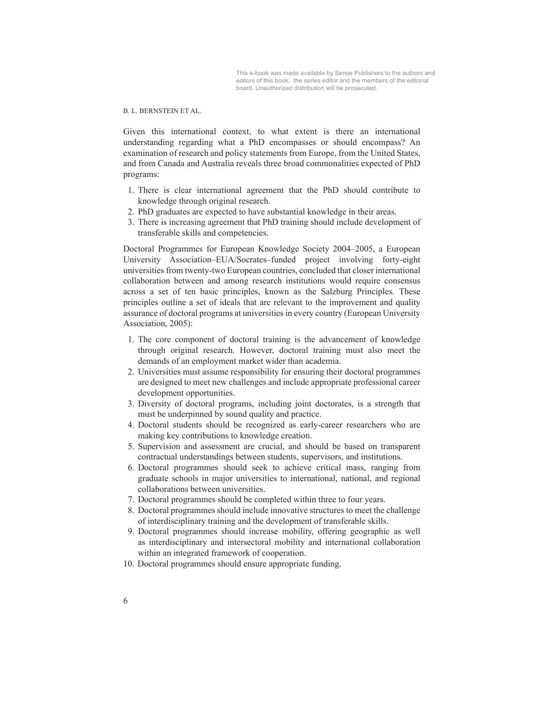## B. L. BERNSTEIN ET AL.

Given this international context, to what extent is there an international understanding regarding what a PhD encompasses or should encompass? An examination of research and policy statements from Europe, from the United States, and from Canada and Australia reveals three broad commonalities expected of PhD programs:

- 1. There is clear international agreement that the PhD should contribute to knowledge through original research.
- 2. PhD graduates are expected to have substantial knowledge in their areas.
- 3. There is increasing agreement that PhD training should include development of transferable skills and competencies.

Doctoral Programmes for European Knowledge Society 2004–2005, a European University Association–EUA/Socrates–funded project involving forty-eight universities from twenty-two European countries, concluded that closer international collaboration between and among research institutions would require consensus across a set of ten basic principles, known as the Salzburg Principles*.* These principles outline a set of ideals that are relevant to the improvement and quality assurance of doctoral programs at universities in every country (European University Association, 2005):

- 1. The core component of doctoral training is the advancement of knowledge through original research. However, doctoral training must also meet the demands of an employment market wider than academia.
- 2. Universities must assume responsibility for ensuring their doctoral programmes are designed to meet new challenges and include appropriate professional career development opportunities.
- 3. Diversity of doctoral programs, including joint doctorates, is a strength that must be underpinned by sound quality and practice.
- 4. Doctoral students should be recognized as early-career researchers who are making key contributions to knowledge creation.
- 5. Supervision and assessment are crucial, and should be based on transparent contractual understandings between students, supervisors, and institutions.
- 6. Doctoral programmes should seek to achieve critical mass, ranging from graduate schools in major universities to international, national, and regional collaborations between universities.
- 7. Doctoral programmes should be completed within three to four years.
- 8. Doctoral programmes should include innovative structures to meet the challenge of interdisciplinary training and the development of transferable skills.
- 9. Doctoral programmes should increase mobility, offering geographic as well as interdisciplinary and intersectoral mobility and international collaboration within an integrated framework of cooperation.
- 10. Doctoral programmes should ensure appropriate funding.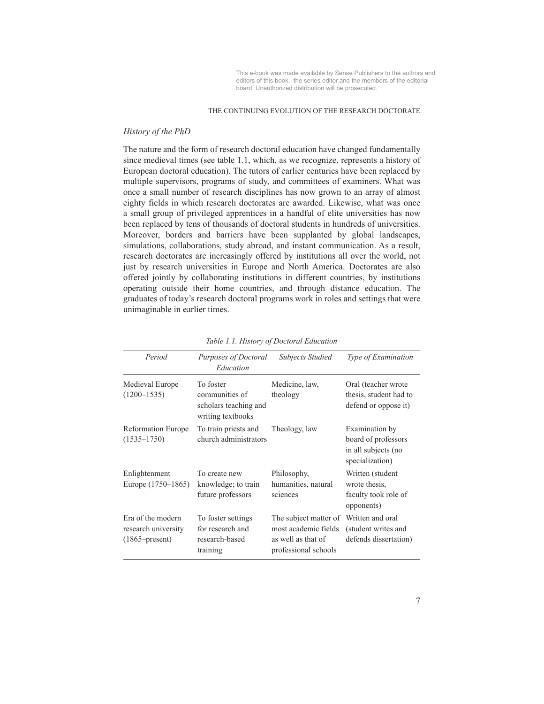#### THE CONTINUING EVOLUTION OF THE RESEARCH DOCTORATE

# *History of the PhD*

The nature and the form of research doctoral education have changed fundamentally since medieval times (see table 1.1, which, as we recognize, represents a history of European doctoral education). The tutors of earlier centuries have been replaced by multiple supervisors, programs of study, and committees of examiners. What was once a small number of research disciplines has now grown to an array of almost eighty fields in which research doctorates are awarded. Likewise, what was once a small group of privileged apprentices in a handful of elite universities has now been replaced by tens of thousands of doctoral students in hundreds of universities. Moreover, borders and barriers have been supplanted by global landscapes, simulations, collaborations, study abroad, and instant communication. As a result, research doctorates are increasingly offered by institutions all over the world, not just by research universities in Europe and North America. Doctorates are also offered jointly by collaborating institutions in different countries, by institutions operating outside their home countries, and through distance education. The graduates of today's research doctoral programs work in roles and settings that were unimaginable in earlier times.

| Period                                                     | Purposes of Doctoral<br>Education                                         | <b>Subjects Studied</b>                                                                     | Type of Examination                                                             |
|------------------------------------------------------------|---------------------------------------------------------------------------|---------------------------------------------------------------------------------------------|---------------------------------------------------------------------------------|
| Medieval Europe<br>$(1200 - 1535)$                         | To foster<br>communities of<br>scholars teaching and<br>writing textbooks | Medicine, law,<br>theology                                                                  | Oral (teacher wrote<br>thesis, student had to<br>defend or oppose it)           |
| <b>Reformation Europe</b><br>$(1535 - 1750)$               | To train priests and<br>church administrators                             | Theology, law                                                                               | Examination by<br>board of professors<br>in all subjects (no<br>specialization) |
| Enlightenment<br>Europe (1750–1865)                        | To create new<br>knowledge; to train<br>future professors                 | Philosophy,<br>humanities, natural<br>sciences                                              | Written (student<br>wrote thesis.<br>faculty took role of<br>opponents)         |
| Era of the modern<br>research university<br>(1865–present) | To foster settings<br>for research and<br>research-based<br>training      | The subject matter of<br>most academic fields<br>as well as that of<br>professional schools | Written and oral<br>(student writes and<br>defends dissertation)                |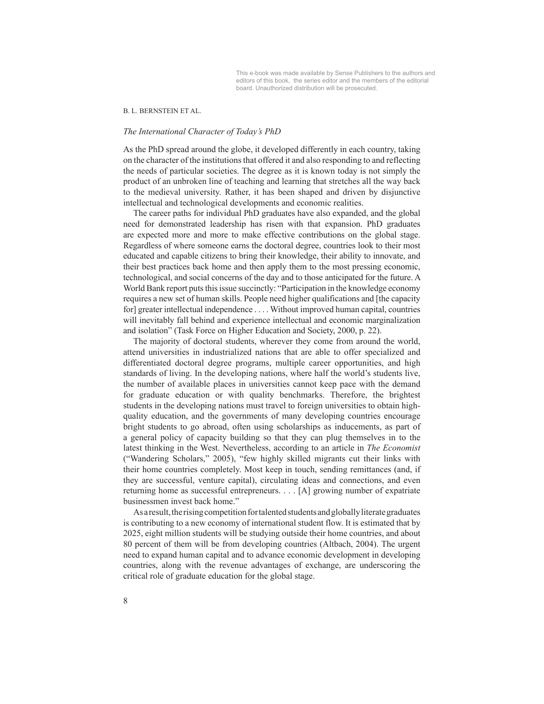#### B. L. BERNSTEIN ET AL.

## *The International Character of Today's PhD*

As the PhD spread around the globe, it developed differently in each country, taking on the character of the institutions that offered it and also responding to and reflecting the needs of particular societies. The degree as it is known today is not simply the product of an unbroken line of teaching and learning that stretches all the way back to the medieval university. Rather, it has been shaped and driven by disjunctive intellectual and technological developments and economic realities.

The career paths for individual PhD graduates have also expanded, and the global need for demonstrated leadership has risen with that expansion. PhD graduates are expected more and more to make effective contributions on the global stage. Regardless of where someone earns the doctoral degree, countries look to their most educated and capable citizens to bring their knowledge, their ability to innovate, and their best practices back home and then apply them to the most pressing economic, technological, and social concerns of the day and to those anticipated for the future. A World Bank report puts this issue succinctly: "Participation in the knowledge economy requires a new set of human skills. People need higher qualifications and [the capacity for] greater intellectual independence . . . . Without improved human capital, countries will inevitably fall behind and experience intellectual and economic marginalization and isolation" (Task Force on Higher Education and Society, 2000, p. 22).

The majority of doctoral students, wherever they come from around the world, attend universities in industrialized nations that are able to offer specialized and differentiated doctoral degree programs, multiple career opportunities, and high standards of living. In the developing nations, where half the world's students live, the number of available places in universities cannot keep pace with the demand for graduate education or with quality benchmarks. Therefore, the brightest students in the developing nations must travel to foreign universities to obtain highquality education, and the governments of many developing countries encourage bright students to go abroad, often using scholarships as inducements, as part of a general policy of capacity building so that they can plug themselves in to the latest thinking in the West. Nevertheless, according to an article in *The Economist* ("Wandering Scholars," 2005), "few highly skilled migrants cut their links with their home countries completely. Most keep in touch, sending remittances (and, if they are successful, venture capital), circulating ideas and connections, and even returning home as successful entrepreneurs. . . . [A] growing number of expatriate businessmen invest back home."

As a result, the rising competition for talented students and globally literate graduates is contributing to a new economy of international student flow. It is estimated that by 2025, eight million students will be studying outside their home countries, and about 80 percent of them will be from developing countries (Altbach, 2004). The urgent need to expand human capital and to advance economic development in developing countries, along with the revenue advantages of exchange, are underscoring the critical role of graduate education for the global stage.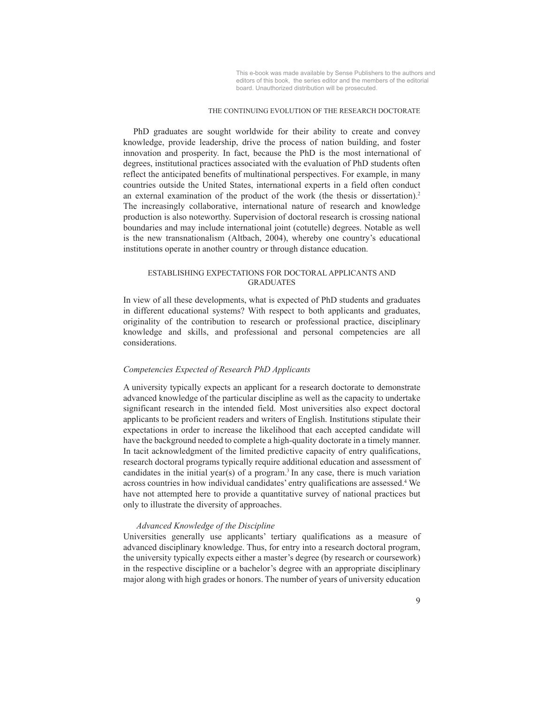#### THE CONTINUING EVOLUTION OF THE RESEARCH DOCTORATE

PhD graduates are sought worldwide for their ability to create and convey knowledge, provide leadership, drive the process of nation building, and foster innovation and prosperity. In fact, because the PhD is the most international of degrees, institutional practices associated with the evaluation of PhD students often reflect the anticipated benefits of multinational perspectives. For example, in many countries outside the United States, international experts in a field often conduct an external examination of the product of the work (the thesis or dissertation).<sup>2</sup> The increasingly collaborative, international nature of research and knowledge production is also noteworthy. Supervision of doctoral research is crossing national boundaries and may include international joint (cotutelle) degrees. Notable as well is the new transnationalism (Altbach, 2004), whereby one country's educational institutions operate in another country or through distance education.

#### ESTABLISHING EXPECTATIONS FOR DOCTORAL APPLICANTS AND GRADUATES

In view of all these developments, what is expected of PhD students and graduates in different educational systems? With respect to both applicants and graduates, originality of the contribution to research or professional practice, disciplinary knowledge and skills, and professional and personal competencies are all considerations.

# *Competencies Expected of Research PhD Applicants*

A university typically expects an applicant for a research doctorate to demonstrate advanced knowledge of the particular discipline as well as the capacity to undertake significant research in the intended field. Most universities also expect doctoral applicants to be proficient readers and writers of English. Institutions stipulate their expectations in order to increase the likelihood that each accepted candidate will have the background needed to complete a high-quality doctorate in a timely manner. In tacit acknowledgment of the limited predictive capacity of entry qualifications, research doctoral programs typically require additional education and assessment of candidates in the initial year(s) of a program.<sup>3</sup>In any case, there is much variation across countries in how individual candidates' entry qualifications are assessed.<sup>4</sup> We have not attempted here to provide a quantitative survey of national practices but only to illustrate the diversity of approaches.

#### *Advanced Knowledge of the Discipline*

Universities generally use applicants' tertiary qualifications as a measure of advanced disciplinary knowledge. Thus, for entry into a research doctoral program, the university typically expects either a master's degree (by research or coursework) in the respective discipline or a bachelor's degree with an appropriate disciplinary major along with high grades or honors. The number of years of university education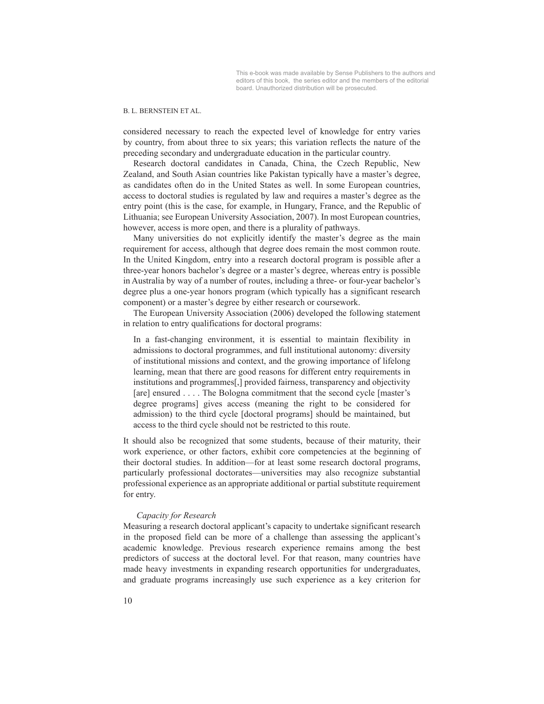#### B. L. BERNSTEIN ET AL.

considered necessary to reach the expected level of knowledge for entry varies by country, from about three to six years; this variation reflects the nature of the preceding secondary and undergraduate education in the particular country.

Research doctoral candidates in Canada, China, the Czech Republic, New Zealand, and South Asian countries like Pakistan typically have a master's degree, as candidates often do in the United States as well. In some European countries, access to doctoral studies is regulated by law and requires a master's degree as the entry point (this is the case, for example, in Hungary, France, and the Republic of Lithuania; see European University Association, 2007). In most European countries, however, access is more open, and there is a plurality of pathways.

Many universities do not explicitly identify the master's degree as the main requirement for access, although that degree does remain the most common route. In the United Kingdom, entry into a research doctoral program is possible after a three-year honors bachelor's degree or a master's degree, whereas entry is possible in Australia by way of a number of routes, including a three- or four-year bachelor's degree plus a one-year honors program (which typically has a significant research component) or a master's degree by either research or coursework.

The European University Association (2006) developed the following statement in relation to entry qualifications for doctoral programs:

In a fast-changing environment, it is essential to maintain flexibility in admissions to doctoral programmes, and full institutional autonomy: diversity of institutional missions and context, and the growing importance of lifelong learning, mean that there are good reasons for different entry requirements in institutions and programmes[,] provided fairness, transparency and objectivity [are] ensured . . . . The Bologna commitment that the second cycle [master's degree programs] gives access (meaning the right to be considered for admission) to the third cycle [doctoral programs] should be maintained, but access to the third cycle should not be restricted to this route.

It should also be recognized that some students, because of their maturity, their work experience, or other factors, exhibit core competencies at the beginning of their doctoral studies. In addition—for at least some research doctoral programs, particularly professional doctorates—universities may also recognize substantial professional experience as an appropriate additional or partial substitute requirement for entry.

#### *Capacity for Research*

Measuring a research doctoral applicant's capacity to undertake significant research in the proposed field can be more of a challenge than assessing the applicant's academic knowledge. Previous research experience remains among the best predictors of success at the doctoral level. For that reason, many countries have made heavy investments in expanding research opportunities for undergraduates, and graduate programs increasingly use such experience as a key criterion for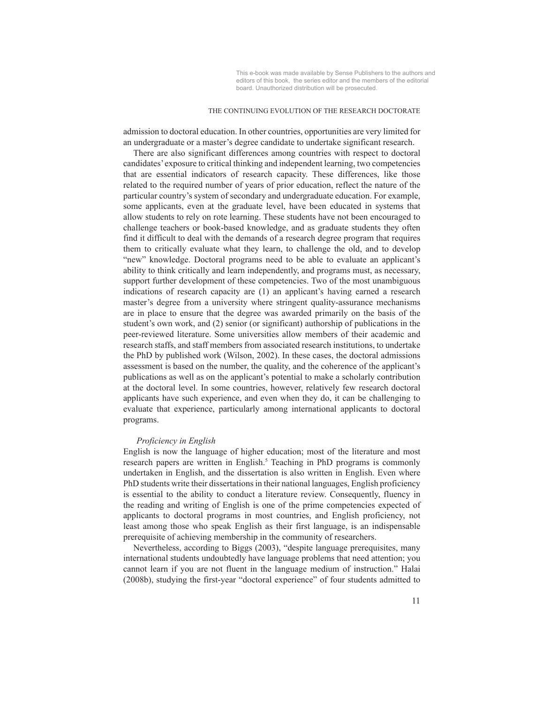#### THE CONTINUING EVOLUTION OF THE RESEARCH DOCTORATE

admission to doctoral education. In other countries, opportunities are very limited for an undergraduate or a master's degree candidate to undertake significant research.

There are also significant differences among countries with respect to doctoral candidates' exposure to critical thinking and independent learning, two competencies that are essential indicators of research capacity. These differences, like those related to the required number of years of prior education, reflect the nature of the particular country's system of secondary and undergraduate education. For example, some applicants, even at the graduate level, have been educated in systems that allow students to rely on rote learning. These students have not been encouraged to challenge teachers or book-based knowledge, and as graduate students they often find it difficult to deal with the demands of a research degree program that requires them to critically evaluate what they learn, to challenge the old, and to develop "new" knowledge. Doctoral programs need to be able to evaluate an applicant's ability to think critically and learn independently, and programs must, as necessary, support further development of these competencies. Two of the most unambiguous indications of research capacity are (1) an applicant's having earned a research master's degree from a university where stringent quality-assurance mechanisms are in place to ensure that the degree was awarded primarily on the basis of the student's own work, and (2) senior (or significant) authorship of publications in the peer-reviewed literature. Some universities allow members of their academic and research staffs, and staff members from associated research institutions, to undertake the PhD by published work (Wilson, 2002). In these cases, the doctoral admissions assessment is based on the number, the quality, and the coherence of the applicant's publications as well as on the applicant's potential to make a scholarly contribution at the doctoral level. In some countries, however, relatively few research doctoral applicants have such experience, and even when they do, it can be challenging to evaluate that experience, particularly among international applicants to doctoral programs.

#### *Proficiency in English*

English is now the language of higher education; most of the literature and most research papers are written in English.<sup>5</sup> Teaching in PhD programs is commonly undertaken in English, and the dissertation is also written in English. Even where PhD students write their dissertations in their national languages, English proficiency is essential to the ability to conduct a literature review. Consequently, fluency in the reading and writing of English is one of the prime competencies expected of applicants to doctoral programs in most countries, and English proficiency, not least among those who speak English as their first language, is an indispensable prerequisite of achieving membership in the community of researchers.

Nevertheless, according to Biggs (2003), "despite language prerequisites, many international students undoubtedly have language problems that need attention; you cannot learn if you are not fluent in the language medium of instruction." Halai (2008b), studying the first-year "doctoral experience" of four students admitted to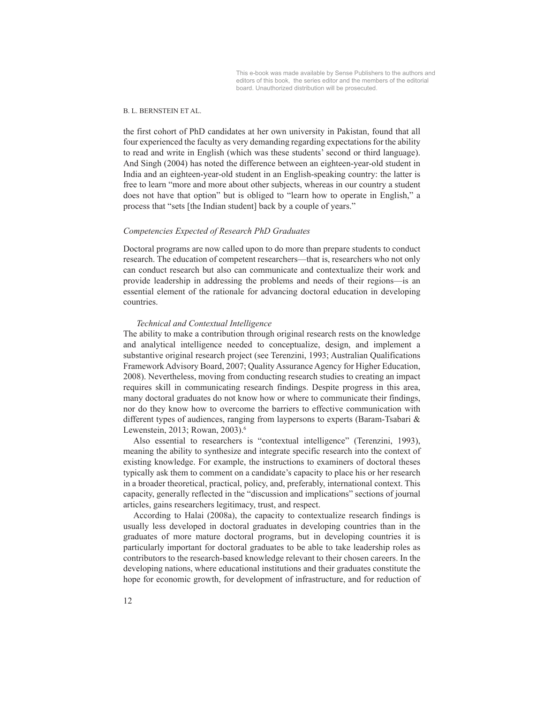#### B. L. BERNSTEIN ET AL.

the first cohort of PhD candidates at her own university in Pakistan, found that all four experienced the faculty as very demanding regarding expectations for the ability to read and write in English (which was these students' second or third language). And Singh (2004) has noted the difference between an eighteen-year-old student in India and an eighteen-year-old student in an English-speaking country: the latter is free to learn "more and more about other subjects, whereas in our country a student does not have that option" but is obliged to "learn how to operate in English," a process that "sets [the Indian student] back by a couple of years."

# *Competencies Expected of Research PhD Graduates*

Doctoral programs are now called upon to do more than prepare students to conduct research. The education of competent researchers—that is, researchers who not only can conduct research but also can communicate and contextualize their work and provide leadership in addressing the problems and needs of their regions—is an essential element of the rationale for advancing doctoral education in developing countries.

# *Technical and Contextual Intelligence*

The ability to make a contribution through original research rests on the knowledge and analytical intelligence needed to conceptualize, design, and implement a substantive original research project (see Terenzini, 1993; Australian Qualifications Framework Advisory Board, 2007; Quality Assurance Agency for Higher Education, 2008). Nevertheless, moving from conducting research studies to creating an impact requires skill in communicating research findings. Despite progress in this area, many doctoral graduates do not know how or where to communicate their findings, nor do they know how to overcome the barriers to effective communication with different types of audiences, ranging from laypersons to experts (Baram-Tsabari & Lewenstein, 2013; Rowan, 2003).<sup>6</sup>

Also essential to researchers is "contextual intelligence" (Terenzini, 1993), meaning the ability to synthesize and integrate specific research into the context of existing knowledge. For example, the instructions to examiners of doctoral theses typically ask them to comment on a candidate's capacity to place his or her research in a broader theoretical, practical, policy, and, preferably, international context. This capacity, generally reflected in the "discussion and implications" sections of journal articles, gains researchers legitimacy, trust, and respect.

According to Halai (2008a), the capacity to contextualize research findings is usually less developed in doctoral graduates in developing countries than in the graduates of more mature doctoral programs, but in developing countries it is particularly important for doctoral graduates to be able to take leadership roles as contributors to the research-based knowledge relevant to their chosen careers. In the developing nations, where educational institutions and their graduates constitute the hope for economic growth, for development of infrastructure, and for reduction of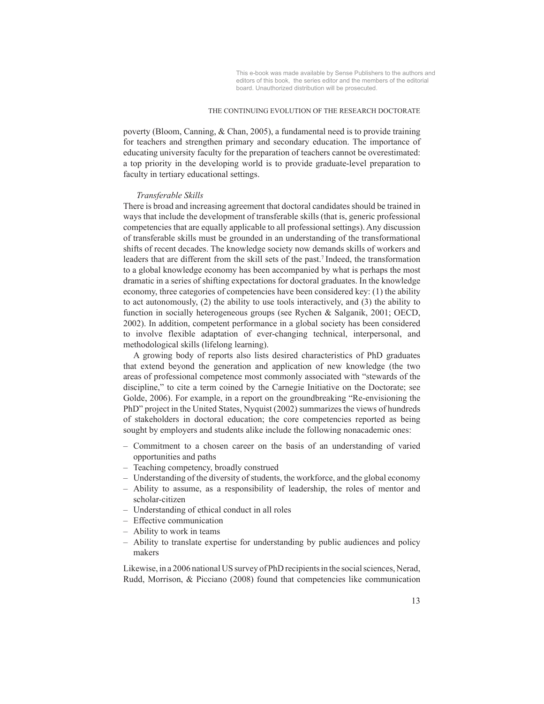#### THE CONTINUING EVOLUTION OF THE RESEARCH DOCTORATE

poverty (Bloom, Canning, & Chan, 2005), a fundamental need is to provide training for teachers and strengthen primary and secondary education. The importance of educating university faculty for the preparation of teachers cannot be overestimated: a top priority in the developing world is to provide graduate-level preparation to faculty in tertiary educational settings.

## *Transferable Skills*

There is broad and increasing agreement that doctoral candidates should be trained in ways that include the development of transferable skills (that is, generic professional competencies that are equally applicable to all professional settings). Any discussion of transferable skills must be grounded in an understanding of the transformational shifts of recent decades. The knowledge society now demands skills of workers and leaders that are different from the skill sets of the past.<sup>7</sup> Indeed, the transformation to a global knowledge economy has been accompanied by what is perhaps the most dramatic in a series of shifting expectations for doctoral graduates. In the knowledge economy, three categories of competencies have been considered key: (1) the ability to act autonomously, (2) the ability to use tools interactively, and (3) the ability to function in socially heterogeneous groups (see Rychen & Salganik, 2001; OECD, 2002). In addition, competent performance in a global society has been considered to involve flexible adaptation of ever-changing technical, interpersonal, and methodological skills (lifelong learning).

A growing body of reports also lists desired characteristics of PhD graduates that extend beyond the generation and application of new knowledge (the two areas of professional competence most commonly associated with "stewards of the discipline," to cite a term coined by the Carnegie Initiative on the Doctorate; see Golde, 2006). For example, in a report on the groundbreaking "Re-envisioning the PhD" project in the United States, Nyquist (2002) summarizes the views of hundreds of stakeholders in doctoral education; the core competencies reported as being sought by employers and students alike include the following nonacademic ones:

- Commitment to a chosen career on the basis of an understanding of varied opportunities and paths
- Teaching competency, broadly construed
- Understanding of the diversity of students, the workforce, and the global economy
- Ability to assume, as a responsibility of leadership, the roles of mentor and scholar-citizen
- Understanding of ethical conduct in all roles
- Effective communication
- Ability to work in teams
- Ability to translate expertise for understanding by public audiences and policy makers

Likewise, in a 2006 national US survey of PhD recipients in the social sciences, Nerad, Rudd, Morrison, & Picciano (2008) found that competencies like communication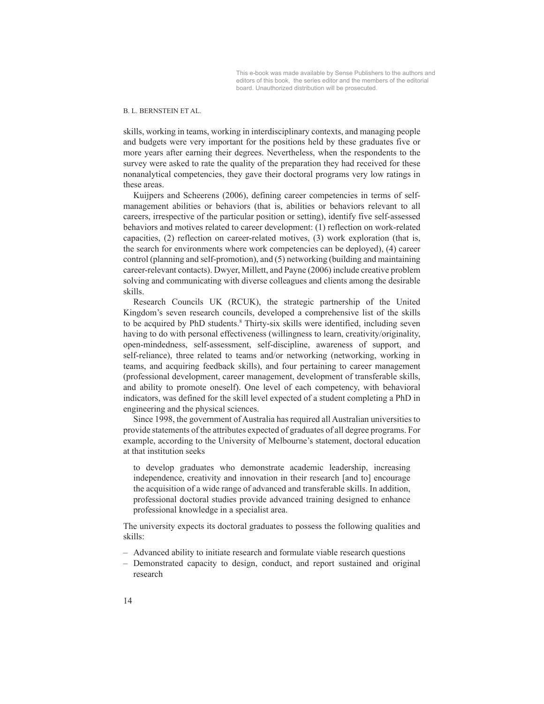#### B. L. BERNSTEIN ET AL.

skills, working in teams, working in interdisciplinary contexts, and managing people and budgets were very important for the positions held by these graduates five or more years after earning their degrees. Nevertheless, when the respondents to the survey were asked to rate the quality of the preparation they had received for these nonanalytical competencies, they gave their doctoral programs very low ratings in these areas.

Kuijpers and Scheerens (2006), defining career competencies in terms of selfmanagement abilities or behaviors (that is, abilities or behaviors relevant to all careers, irrespective of the particular position or setting), identify five self-assessed behaviors and motives related to career development: (1) reflection on work-related capacities, (2) reflection on career-related motives, (3) work exploration (that is, the search for environments where work competencies can be deployed), (4) career control (planning and self-promotion), and (5) networking (building and maintaining career-relevant contacts). Dwyer, Millett, and Payne (2006) include creative problem solving and communicating with diverse colleagues and clients among the desirable skills.

Research Councils UK (RCUK), the strategic partnership of the United Kingdom's seven research councils, developed a comprehensive list of the skills to be acquired by PhD students.<sup>8</sup> Thirty-six skills were identified, including seven having to do with personal effectiveness (willingness to learn, creativity/originality, open-mindedness, self-assessment, self-discipline, awareness of support, and self-reliance), three related to teams and/or networking (networking, working in teams, and acquiring feedback skills), and four pertaining to career management (professional development, career management, development of transferable skills, and ability to promote oneself). One level of each competency, with behavioral indicators, was defined for the skill level expected of a student completing a PhD in engineering and the physical sciences.

Since 1998, the government of Australia has required all Australian universities to provide statements of the attributes expected of graduates of all degree programs. For example, according to the University of Melbourne's statement, doctoral education at that institution seeks

to develop graduates who demonstrate academic leadership, increasing independence, creativity and innovation in their research [and to] encourage the acquisition of a wide range of advanced and transferable skills. In addition, professional doctoral studies provide advanced training designed to enhance professional knowledge in a specialist area.

The university expects its doctoral graduates to possess the following qualities and skills:

- Advanced ability to initiate research and formulate viable research questions
- Demonstrated capacity to design, conduct, and report sustained and original research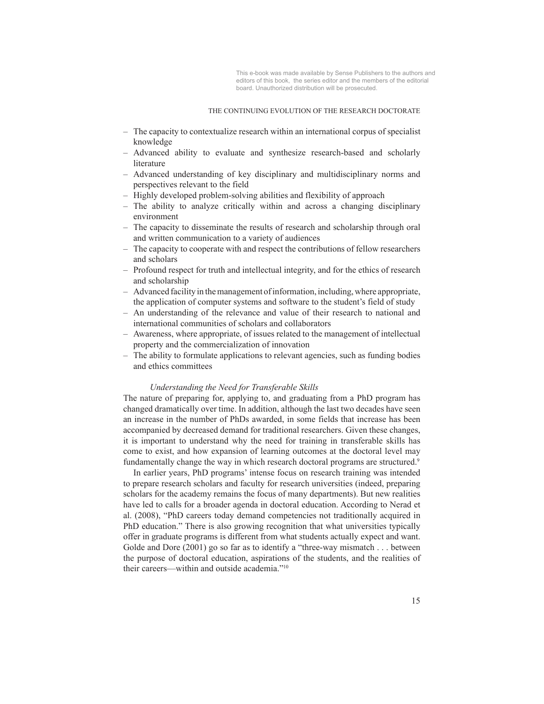#### THE CONTINUING EVOLUTION OF THE RESEARCH DOCTORATE

- The capacity to contextualize research within an international corpus of specialist knowledge
- Advanced ability to evaluate and synthesize research-based and scholarly literature
- Advanced understanding of key disciplinary and multidisciplinary norms and perspectives relevant to the field
- Highly developed problem-solving abilities and flexibility of approach
- The ability to analyze critically within and across a changing disciplinary environment
- The capacity to disseminate the results of research and scholarship through oral and written communication to a variety of audiences
- The capacity to cooperate with and respect the contributions of fellow researchers and scholars
- Profound respect for truth and intellectual integrity, and for the ethics of research and scholarship
- Advanced facility in the management of information, including, where appropriate, the application of computer systems and software to the student's field of study
- An understanding of the relevance and value of their research to national and international communities of scholars and collaborators
- Awareness, where appropriate, of issues related to the management of intellectual property and the commercialization of innovation
- The ability to formulate applications to relevant agencies, such as funding bodies and ethics committees

# *Understanding the Need for Transferable Skills*

The nature of preparing for, applying to, and graduating from a PhD program has changed dramatically over time. In addition, although the last two decades have seen an increase in the number of PhDs awarded, in some fields that increase has been accompanied by decreased demand for traditional researchers. Given these changes, it is important to understand why the need for training in transferable skills has come to exist, and how expansion of learning outcomes at the doctoral level may fundamentally change the way in which research doctoral programs are structured.<sup>9</sup>

In earlier years, PhD programs' intense focus on research training was intended to prepare research scholars and faculty for research universities (indeed, preparing scholars for the academy remains the focus of many departments). But new realities have led to calls for a broader agenda in doctoral education. According to Nerad et al. (2008), "PhD careers today demand competencies not traditionally acquired in PhD education." There is also growing recognition that what universities typically offer in graduate programs is different from what students actually expect and want. Golde and Dore (2001) go so far as to identify a "three-way mismatch . . . between the purpose of doctoral education, aspirations of the students, and the realities of their careers—within and outside academia."<sup>10</sup>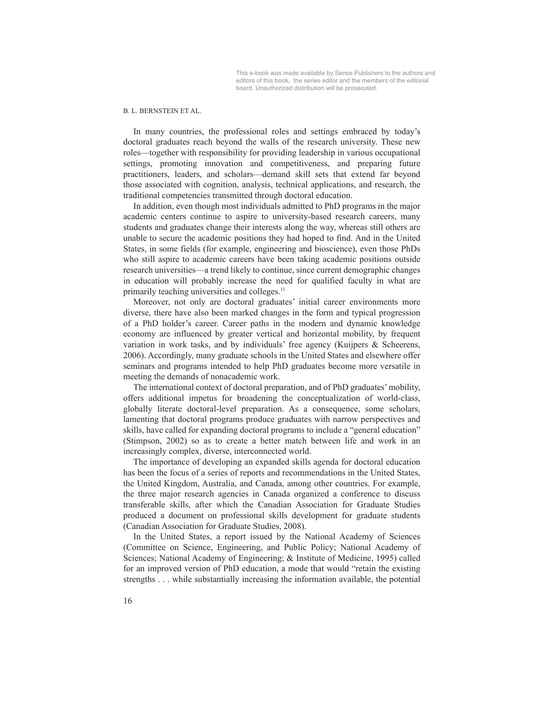#### B. L. BERNSTEIN ET AL.

In many countries, the professional roles and settings embraced by today's doctoral graduates reach beyond the walls of the research university. These new roles—together with responsibility for providing leadership in various occupational settings, promoting innovation and competitiveness, and preparing future practitioners, leaders, and scholars—demand skill sets that extend far beyond those associated with cognition, analysis, technical applications, and research, the traditional competencies transmitted through doctoral education.

In addition, even though most individuals admitted to PhD programs in the major academic centers continue to aspire to university-based research careers, many students and graduates change their interests along the way, whereas still others are unable to secure the academic positions they had hoped to find. And in the United States, in some fields (for example, engineering and bioscience), even those PhDs who still aspire to academic careers have been taking academic positions outside research universities—a trend likely to continue, since current demographic changes in education will probably increase the need for qualified faculty in what are primarily teaching universities and colleges.<sup>11</sup>

Moreover, not only are doctoral graduates' initial career environments more diverse, there have also been marked changes in the form and typical progression of a PhD holder's career. Career paths in the modern and dynamic knowledge economy are influenced by greater vertical and horizontal mobility, by frequent variation in work tasks, and by individuals' free agency (Kuijpers & Scheerens, 2006). Accordingly, many graduate schools in the United States and elsewhere offer seminars and programs intended to help PhD graduates become more versatile in meeting the demands of nonacademic work.

The international context of doctoral preparation, and of PhD graduates' mobility, offers additional impetus for broadening the conceptualization of world-class, globally literate doctoral-level preparation. As a consequence, some scholars, lamenting that doctoral programs produce graduates with narrow perspectives and skills, have called for expanding doctoral programs to include a "general education" (Stimpson, 2002) so as to create a better match between life and work in an increasingly complex, diverse, interconnected world.

The importance of developing an expanded skills agenda for doctoral education has been the focus of a series of reports and recommendations in the United States, the United Kingdom, Australia, and Canada, among other countries. For example, the three major research agencies in Canada organized a conference to discuss transferable skills, after which the Canadian Association for Graduate Studies produced a document on professional skills development for graduate students (Canadian Association for Graduate Studies, 2008).

In the United States, a report issued by the National Academy of Sciences (Committee on Science, Engineering, and Public Policy; National Academy of Sciences; National Academy of Engineering; & Institute of Medicine, 1995) called for an improved version of PhD education, a mode that would "retain the existing strengths . . . while substantially increasing the information available, the potential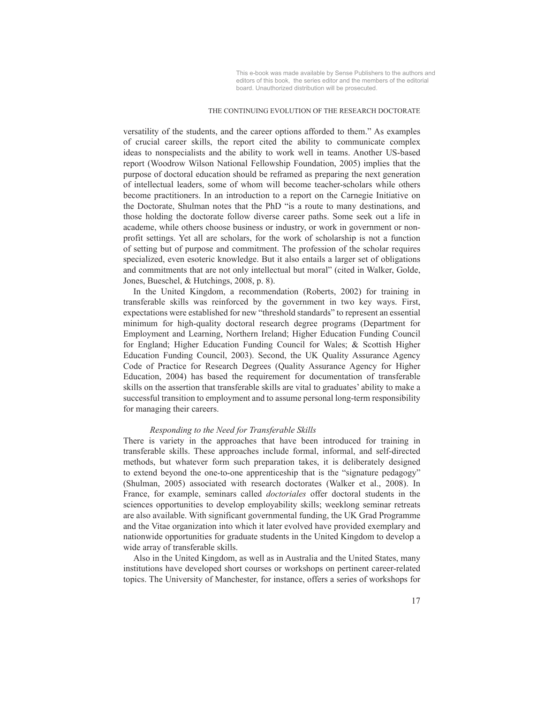#### THE CONTINUING EVOLUTION OF THE RESEARCH DOCTORATE

versatility of the students, and the career options afforded to them." As examples of crucial career skills, the report cited the ability to communicate complex ideas to nonspecialists and the ability to work well in teams. Another US-based report (Woodrow Wilson National Fellowship Foundation, 2005) implies that the purpose of doctoral education should be reframed as preparing the next generation of intellectual leaders, some of whom will become teacher-scholars while others become practitioners. In an introduction to a report on the Carnegie Initiative on the Doctorate, Shulman notes that the PhD "is a route to many destinations, and those holding the doctorate follow diverse career paths. Some seek out a life in academe, while others choose business or industry, or work in government or nonprofit settings. Yet all are scholars, for the work of scholarship is not a function of setting but of purpose and commitment. The profession of the scholar requires specialized, even esoteric knowledge. But it also entails a larger set of obligations and commitments that are not only intellectual but moral" (cited in Walker, Golde, Jones, Bueschel, & Hutchings, 2008, p. 8).

In the United Kingdom, a recommendation (Roberts, 2002) for training in transferable skills was reinforced by the government in two key ways. First, expectations were established for new "threshold standards" to represent an essential minimum for high-quality doctoral research degree programs (Department for Employment and Learning, Northern Ireland; Higher Education Funding Council for England; Higher Education Funding Council for Wales; & Scottish Higher Education Funding Council, 2003). Second, the UK Quality Assurance Agency Code of Practice for Research Degrees (Quality Assurance Agency for Higher Education, 2004) has based the requirement for documentation of transferable skills on the assertion that transferable skills are vital to graduates' ability to make a successful transition to employment and to assume personal long-term responsibility for managing their careers.

#### *Responding to the Need for Transferable Skills*

There is variety in the approaches that have been introduced for training in transferable skills. These approaches include formal, informal, and self-directed methods, but whatever form such preparation takes, it is deliberately designed to extend beyond the one-to-one apprenticeship that is the "signature pedagogy" (Shulman, 2005) associated with research doctorates (Walker et al., 2008). In France, for example, seminars called *doctoriales* offer doctoral students in the sciences opportunities to develop employability skills; weeklong seminar retreats are also available. With significant governmental funding, the UK Grad Programme and the Vitae organization into which it later evolved have provided exemplary and nationwide opportunities for graduate students in the United Kingdom to develop a wide array of transferable skills.

Also in the United Kingdom, as well as in Australia and the United States, many institutions have developed short courses or workshops on pertinent career-related topics. The University of Manchester, for instance, offers a series of workshops for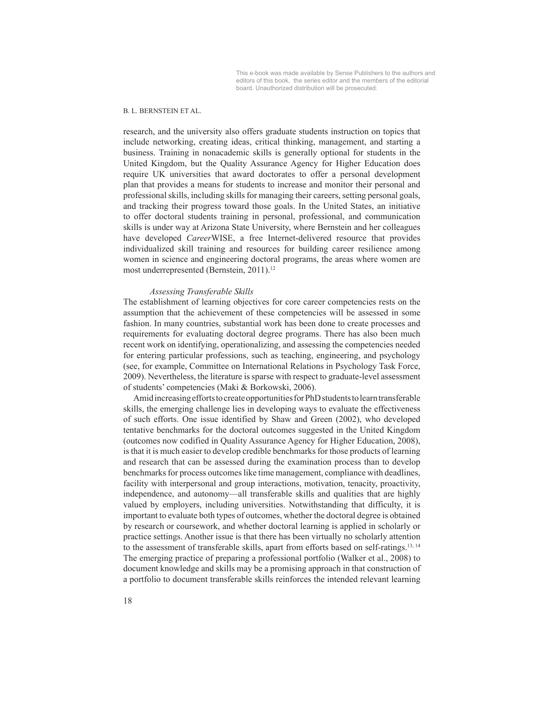#### B. L. BERNSTEIN ET AL.

research, and the university also offers graduate students instruction on topics that include networking, creating ideas, critical thinking, management, and starting a business. Training in nonacademic skills is generally optional for students in the United Kingdom, but the Quality Assurance Agency for Higher Education does require UK universities that award doctorates to offer a personal development plan that provides a means for students to increase and monitor their personal and professional skills, including skills for managing their careers, setting personal goals, and tracking their progress toward those goals. In the United States, an initiative to offer doctoral students training in personal, professional, and communication skills is under way at Arizona State University, where Bernstein and her colleagues have developed *Career*WISE, a free Internet-delivered resource that provides individualized skill training and resources for building career resilience among women in science and engineering doctoral programs, the areas where women are most underrepresented (Bernstein, 2011).<sup>12</sup>

#### *Assessing Transferable Skills*

The establishment of learning objectives for core career competencies rests on the assumption that the achievement of these competencies will be assessed in some fashion. In many countries, substantial work has been done to create processes and requirements for evaluating doctoral degree programs. There has also been much recent work on identifying, operationalizing, and assessing the competencies needed for entering particular professions, such as teaching, engineering, and psychology (see, for example, Committee on International Relations in Psychology Task Force, 2009). Nevertheless, the literature is sparse with respect to graduate-level assessment of students' competencies (Maki & Borkowski, 2006).

Amid increasing efforts to create opportunities for PhD students to learn transferable skills, the emerging challenge lies in developing ways to evaluate the effectiveness of such efforts. One issue identified by Shaw and Green (2002), who developed tentative benchmarks for the doctoral outcomes suggested in the United Kingdom (outcomes now codified in Quality Assurance Agency for Higher Education, 2008), is that it is much easier to develop credible benchmarks for those products of learning and research that can be assessed during the examination process than to develop benchmarks for process outcomes like time management, compliance with deadlines, facility with interpersonal and group interactions, motivation, tenacity, proactivity, independence, and autonomy—all transferable skills and qualities that are highly valued by employers, including universities. Notwithstanding that difficulty, it is important to evaluate both types of outcomes, whether the doctoral degree is obtained by research or coursework, and whether doctoral learning is applied in scholarly or practice settings. Another issue is that there has been virtually no scholarly attention to the assessment of transferable skills, apart from efforts based on self-ratings.<sup>13, 14</sup> The emerging practice of preparing a professional portfolio (Walker et al., 2008) to document knowledge and skills may be a promising approach in that construction of a portfolio to document transferable skills reinforces the intended relevant learning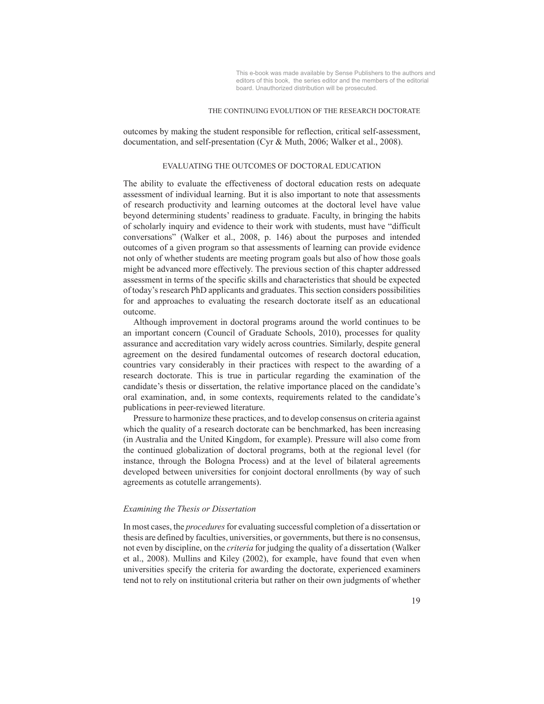#### THE CONTINUING EVOLUTION OF THE RESEARCH DOCTORATE

outcomes by making the student responsible for reflection, critical self-assessment, documentation, and self-presentation (Cyr & Muth, 2006; Walker et al., 2008).

#### EVALUATING THE OUTCOMES OF DOCTORAL EDUCATION

The ability to evaluate the effectiveness of doctoral education rests on adequate assessment of individual learning. But it is also important to note that assessments of research productivity and learning outcomes at the doctoral level have value beyond determining students' readiness to graduate. Faculty, in bringing the habits of scholarly inquiry and evidence to their work with students, must have "difficult conversations" (Walker et al., 2008, p. 146) about the purposes and intended outcomes of a given program so that assessments of learning can provide evidence not only of whether students are meeting program goals but also of how those goals might be advanced more effectively. The previous section of this chapter addressed assessment in terms of the specific skills and characteristics that should be expected of today's research PhD applicants and graduates. This section considers possibilities for and approaches to evaluating the research doctorate itself as an educational outcome.

Although improvement in doctoral programs around the world continues to be an important concern (Council of Graduate Schools, 2010), processes for quality assurance and accreditation vary widely across countries. Similarly, despite general agreement on the desired fundamental outcomes of research doctoral education, countries vary considerably in their practices with respect to the awarding of a research doctorate. This is true in particular regarding the examination of the candidate's thesis or dissertation, the relative importance placed on the candidate's oral examination, and, in some contexts, requirements related to the candidate's publications in peer-reviewed literature.

Pressure to harmonize these practices, and to develop consensus on criteria against which the quality of a research doctorate can be benchmarked, has been increasing (in Australia and the United Kingdom, for example). Pressure will also come from the continued globalization of doctoral programs, both at the regional level (for instance, through the Bologna Process) and at the level of bilateral agreements developed between universities for conjoint doctoral enrollments (by way of such agreements as cotutelle arrangements).

#### *Examining the Thesis or Dissertation*

In most cases, the *procedures* for evaluating successful completion of a dissertation or thesis are defined by faculties, universities, or governments, but there is no consensus, not even by discipline, on the *criteria* for judging the quality of a dissertation (Walker et al., 2008). Mullins and Kiley (2002), for example, have found that even when universities specify the criteria for awarding the doctorate, experienced examiners tend not to rely on institutional criteria but rather on their own judgments of whether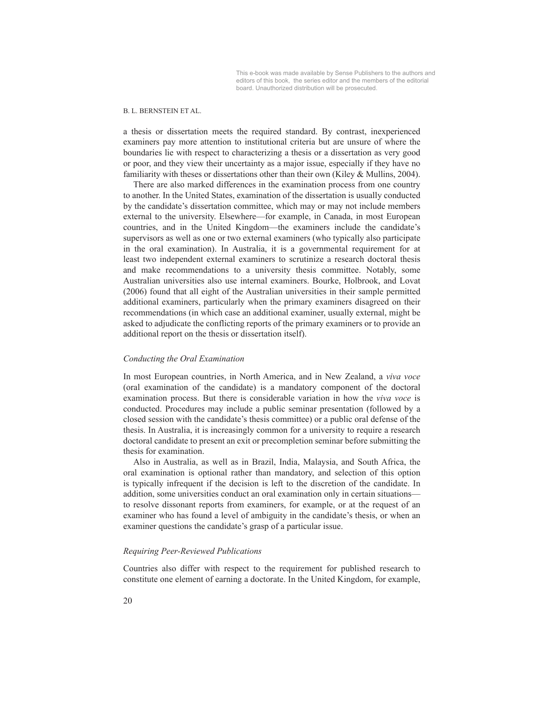#### B. L. BERNSTEIN ET AL.

a thesis or dissertation meets the required standard. By contrast, inexperienced examiners pay more attention to institutional criteria but are unsure of where the boundaries lie with respect to characterizing a thesis or a dissertation as very good or poor, and they view their uncertainty as a major issue, especially if they have no familiarity with theses or dissertations other than their own (Kiley & Mullins, 2004).

There are also marked differences in the examination process from one country to another. In the United States, examination of the dissertation is usually conducted by the candidate's dissertation committee, which may or may not include members external to the university. Elsewhere—for example, in Canada, in most European countries, and in the United Kingdom—the examiners include the candidate's supervisors as well as one or two external examiners (who typically also participate in the oral examination). In Australia, it is a governmental requirement for at least two independent external examiners to scrutinize a research doctoral thesis and make recommendations to a university thesis committee. Notably, some Australian universities also use internal examiners. Bourke, Holbrook, and Lovat (2006) found that all eight of the Australian universities in their sample permitted additional examiners, particularly when the primary examiners disagreed on their recommendations (in which case an additional examiner, usually external, might be asked to adjudicate the conflicting reports of the primary examiners or to provide an additional report on the thesis or dissertation itself).

#### *Conducting the Oral Examination*

In most European countries, in North America, and in New Zealand, a *viva voce* (oral examination of the candidate) is a mandatory component of the doctoral examination process. But there is considerable variation in how the *viva voce* is conducted. Procedures may include a public seminar presentation (followed by a closed session with the candidate's thesis committee) or a public oral defense of the thesis. In Australia, it is increasingly common for a university to require a research doctoral candidate to present an exit or precompletion seminar before submitting the thesis for examination.

Also in Australia, as well as in Brazil, India, Malaysia, and South Africa, the oral examination is optional rather than mandatory, and selection of this option is typically infrequent if the decision is left to the discretion of the candidate. In addition, some universities conduct an oral examination only in certain situations to resolve dissonant reports from examiners, for example, or at the request of an examiner who has found a level of ambiguity in the candidate's thesis, or when an examiner questions the candidate's grasp of a particular issue.

#### *Requiring Peer-Reviewed Publications*

Countries also differ with respect to the requirement for published research to constitute one element of earning a doctorate. In the United Kingdom, for example,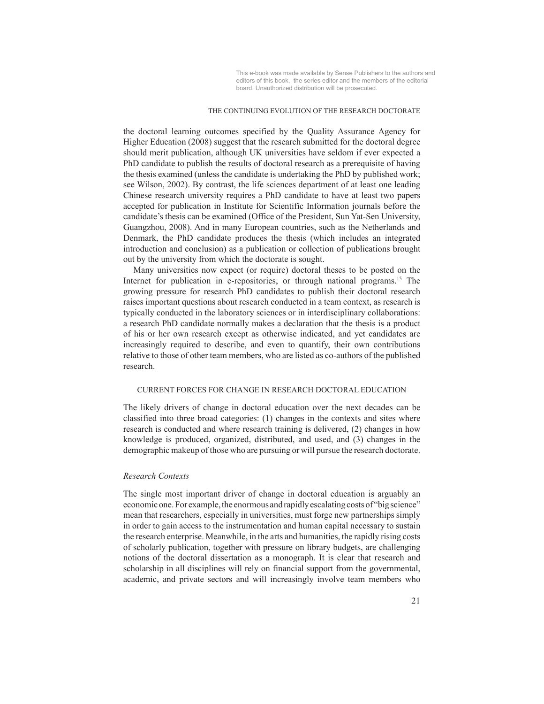#### THE CONTINUING EVOLUTION OF THE RESEARCH DOCTORATE

the doctoral learning outcomes specified by the Quality Assurance Agency for Higher Education (2008) suggest that the research submitted for the doctoral degree should merit publication, although UK universities have seldom if ever expected a PhD candidate to publish the results of doctoral research as a prerequisite of having the thesis examined (unless the candidate is undertaking the PhD by published work; see Wilson, 2002). By contrast, the life sciences department of at least one leading Chinese research university requires a PhD candidate to have at least two papers accepted for publication in Institute for Scientific Information journals before the candidate's thesis can be examined (Office of the President, Sun Yat-Sen University, Guangzhou, 2008). And in many European countries, such as the Netherlands and Denmark, the PhD candidate produces the thesis (which includes an integrated introduction and conclusion) as a publication or collection of publications brought out by the university from which the doctorate is sought.

Many universities now expect (or require) doctoral theses to be posted on the Internet for publication in e-repositories, or through national programs.<sup>15</sup> The growing pressure for research PhD candidates to publish their doctoral research raises important questions about research conducted in a team context, as research is typically conducted in the laboratory sciences or in interdisciplinary collaborations: a research PhD candidate normally makes a declaration that the thesis is a product of his or her own research except as otherwise indicated, and yet candidates are increasingly required to describe, and even to quantify, their own contributions relative to those of other team members, who are listed as co-authors of the published research.

#### CURRENT FORCES FOR CHANGE IN RESEARCH DOCTORAL EDUCATION

The likely drivers of change in doctoral education over the next decades can be classified into three broad categories: (1) changes in the contexts and sites where research is conducted and where research training is delivered, (2) changes in how knowledge is produced, organized, distributed, and used, and (3) changes in the demographic makeup of those who are pursuing or will pursue the research doctorate.

#### *Research Contexts*

The single most important driver of change in doctoral education is arguably an economic one. For example, the enormous and rapidly escalating costs of "big science" mean that researchers, especially in universities, must forge new partnerships simply in order to gain access to the instrumentation and human capital necessary to sustain the research enterprise. Meanwhile, in the arts and humanities, the rapidly rising costs of scholarly publication, together with pressure on library budgets, are challenging notions of the doctoral dissertation as a monograph. It is clear that research and scholarship in all disciplines will rely on financial support from the governmental, academic, and private sectors and will increasingly involve team members who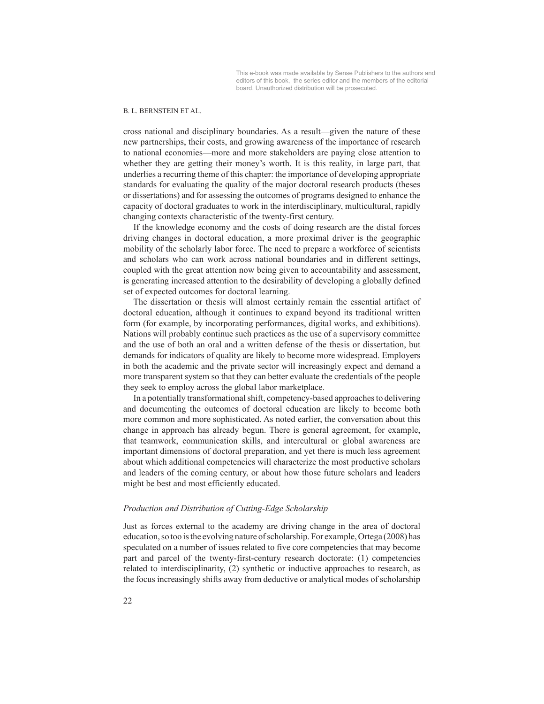#### B. L. BERNSTEIN ET AL.

cross national and disciplinary boundaries. As a result—given the nature of these new partnerships, their costs, and growing awareness of the importance of research to national economies—more and more stakeholders are paying close attention to whether they are getting their money's worth. It is this reality, in large part, that underlies a recurring theme of this chapter: the importance of developing appropriate standards for evaluating the quality of the major doctoral research products (theses or dissertations) and for assessing the outcomes of programs designed to enhance the capacity of doctoral graduates to work in the interdisciplinary, multicultural, rapidly changing contexts characteristic of the twenty-first century.

If the knowledge economy and the costs of doing research are the distal forces driving changes in doctoral education, a more proximal driver is the geographic mobility of the scholarly labor force. The need to prepare a workforce of scientists and scholars who can work across national boundaries and in different settings, coupled with the great attention now being given to accountability and assessment, is generating increased attention to the desirability of developing a globally defined set of expected outcomes for doctoral learning.

The dissertation or thesis will almost certainly remain the essential artifact of doctoral education, although it continues to expand beyond its traditional written form (for example, by incorporating performances, digital works, and exhibitions). Nations will probably continue such practices as the use of a supervisory committee and the use of both an oral and a written defense of the thesis or dissertation, but demands for indicators of quality are likely to become more widespread. Employers in both the academic and the private sector will increasingly expect and demand a more transparent system so that they can better evaluate the credentials of the people they seek to employ across the global labor marketplace.

In a potentially transformational shift, competency-based approaches to delivering and documenting the outcomes of doctoral education are likely to become both more common and more sophisticated. As noted earlier, the conversation about this change in approach has already begun. There is general agreement, for example, that teamwork, communication skills, and intercultural or global awareness are important dimensions of doctoral preparation, and yet there is much less agreement about which additional competencies will characterize the most productive scholars and leaders of the coming century, or about how those future scholars and leaders might be best and most efficiently educated.

#### *Production and Distribution of Cutting-Edge Scholarship*

Just as forces external to the academy are driving change in the area of doctoral education, so too is the evolving nature of scholarship. For example, Ortega (2008) has speculated on a number of issues related to five core competencies that may become part and parcel of the twenty-first-century research doctorate: (1) competencies related to interdisciplinarity, (2) synthetic or inductive approaches to research, as the focus increasingly shifts away from deductive or analytical modes of scholarship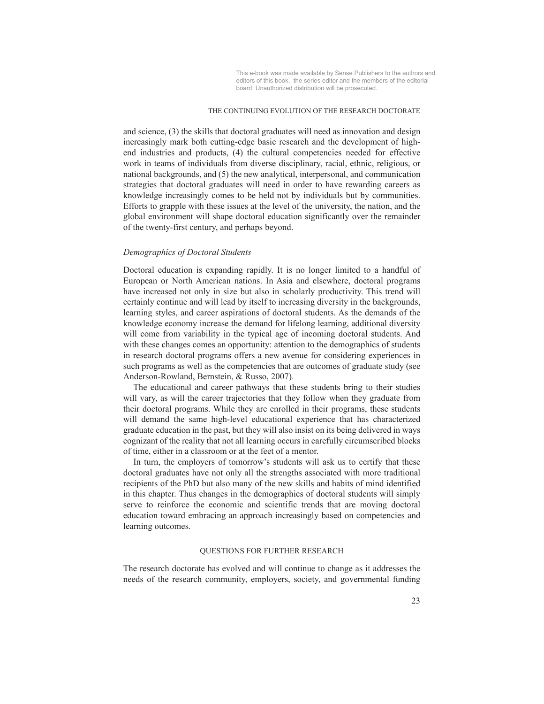#### THE CONTINUING EVOLUTION OF THE RESEARCH DOCTORATE

and science, (3) the skills that doctoral graduates will need as innovation and design increasingly mark both cutting-edge basic research and the development of highend industries and products, (4) the cultural competencies needed for effective work in teams of individuals from diverse disciplinary, racial, ethnic, religious, or national backgrounds, and (5) the new analytical, interpersonal, and communication strategies that doctoral graduates will need in order to have rewarding careers as knowledge increasingly comes to be held not by individuals but by communities. Efforts to grapple with these issues at the level of the university, the nation, and the global environment will shape doctoral education significantly over the remainder of the twenty-first century, and perhaps beyond.

#### *Demographics of Doctoral Students*

Doctoral education is expanding rapidly. It is no longer limited to a handful of European or North American nations. In Asia and elsewhere, doctoral programs have increased not only in size but also in scholarly productivity. This trend will certainly continue and will lead by itself to increasing diversity in the backgrounds, learning styles, and career aspirations of doctoral students. As the demands of the knowledge economy increase the demand for lifelong learning, additional diversity will come from variability in the typical age of incoming doctoral students. And with these changes comes an opportunity: attention to the demographics of students in research doctoral programs offers a new avenue for considering experiences in such programs as well as the competencies that are outcomes of graduate study (see Anderson-Rowland, Bernstein, & Russo, 2007).

The educational and career pathways that these students bring to their studies will vary, as will the career trajectories that they follow when they graduate from their doctoral programs. While they are enrolled in their programs, these students will demand the same high-level educational experience that has characterized graduate education in the past, but they will also insist on its being delivered in ways cognizant of the reality that not all learning occurs in carefully circumscribed blocks of time, either in a classroom or at the feet of a mentor.

In turn, the employers of tomorrow's students will ask us to certify that these doctoral graduates have not only all the strengths associated with more traditional recipients of the PhD but also many of the new skills and habits of mind identified in this chapter. Thus changes in the demographics of doctoral students will simply serve to reinforce the economic and scientific trends that are moving doctoral education toward embracing an approach increasingly based on competencies and learning outcomes.

#### QUESTIONS FOR FURTHER RESEARCH

The research doctorate has evolved and will continue to change as it addresses the needs of the research community, employers, society, and governmental funding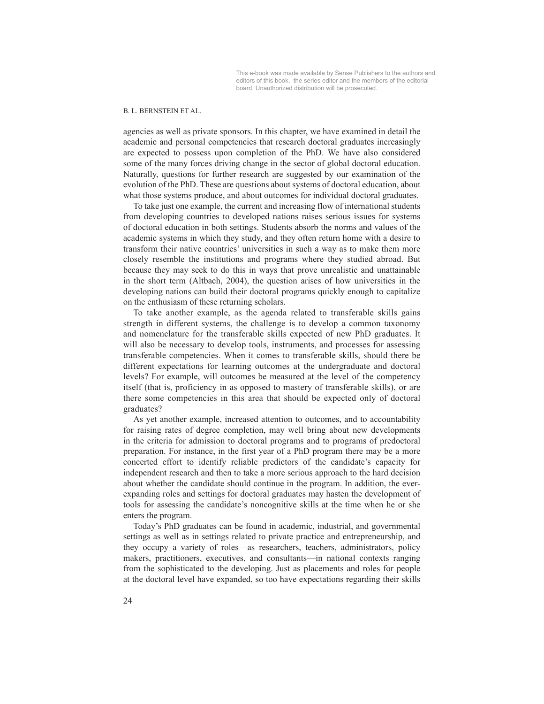#### B. L. BERNSTEIN ET AL.

agencies as well as private sponsors. In this chapter, we have examined in detail the academic and personal competencies that research doctoral graduates increasingly are expected to possess upon completion of the PhD. We have also considered some of the many forces driving change in the sector of global doctoral education. Naturally, questions for further research are suggested by our examination of the evolution of the PhD. These are questions about systems of doctoral education, about what those systems produce, and about outcomes for individual doctoral graduates.

To take just one example, the current and increasing flow of international students from developing countries to developed nations raises serious issues for systems of doctoral education in both settings. Students absorb the norms and values of the academic systems in which they study, and they often return home with a desire to transform their native countries' universities in such a way as to make them more closely resemble the institutions and programs where they studied abroad. But because they may seek to do this in ways that prove unrealistic and unattainable in the short term (Altbach, 2004), the question arises of how universities in the developing nations can build their doctoral programs quickly enough to capitalize on the enthusiasm of these returning scholars.

To take another example, as the agenda related to transferable skills gains strength in different systems, the challenge is to develop a common taxonomy and nomenclature for the transferable skills expected of new PhD graduates. It will also be necessary to develop tools, instruments, and processes for assessing transferable competencies. When it comes to transferable skills, should there be different expectations for learning outcomes at the undergraduate and doctoral levels? For example, will outcomes be measured at the level of the competency itself (that is, proficiency in as opposed to mastery of transferable skills), or are there some competencies in this area that should be expected only of doctoral graduates?

As yet another example, increased attention to outcomes, and to accountability for raising rates of degree completion, may well bring about new developments in the criteria for admission to doctoral programs and to programs of predoctoral preparation. For instance, in the first year of a PhD program there may be a more concerted effort to identify reliable predictors of the candidate's capacity for independent research and then to take a more serious approach to the hard decision about whether the candidate should continue in the program. In addition, the everexpanding roles and settings for doctoral graduates may hasten the development of tools for assessing the candidate's noncognitive skills at the time when he or she enters the program.

Today's PhD graduates can be found in academic, industrial, and governmental settings as well as in settings related to private practice and entrepreneurship, and they occupy a variety of roles—as researchers, teachers, administrators, policy makers, practitioners, executives, and consultants—in national contexts ranging from the sophisticated to the developing. Just as placements and roles for people at the doctoral level have expanded, so too have expectations regarding their skills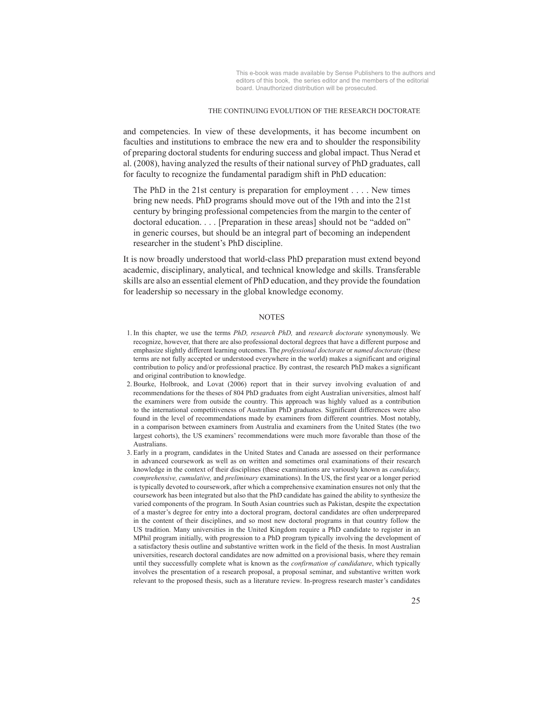#### THE CONTINUING EVOLUTION OF THE RESEARCH DOCTORATE

and competencies. In view of these developments, it has become incumbent on faculties and institutions to embrace the new era and to shoulder the responsibility of preparing doctoral students for enduring success and global impact. Thus Nerad et al. (2008), having analyzed the results of their national survey of PhD graduates, call for faculty to recognize the fundamental paradigm shift in PhD education:

The PhD in the 21st century is preparation for employment . . . . New times bring new needs. PhD programs should move out of the 19th and into the 21st century by bringing professional competencies from the margin to the center of doctoral education. . . . [Preparation in these areas] should not be "added on" in generic courses, but should be an integral part of becoming an independent researcher in the student's PhD discipline.

It is now broadly understood that world-class PhD preparation must extend beyond academic, disciplinary, analytical, and technical knowledge and skills. Transferable skills are also an essential element of PhD education, and they provide the foundation for leadership so necessary in the global knowledge economy.

#### **NOTES**

- 1. In this chapter, we use the terms *PhD, research PhD,* and *research doctorate* synonymously. We recognize, however, that there are also professional doctoral degrees that have a different purpose and emphasize slightly different learning outcomes. The *professional doctorate* or *named doctorate* (these terms are not fully accepted or understood everywhere in the world) makes a significant and original contribution to policy and/or professional practice. By contrast, the research PhD makes a significant and original contribution to knowledge.
- 2. Bourke, Holbrook, and Lovat (2006) report that in their survey involving evaluation of and recommendations for the theses of 804 PhD graduates from eight Australian universities, almost half the examiners were from outside the country. This approach was highly valued as a contribution to the international competitiveness of Australian PhD graduates. Significant differences were also found in the level of recommendations made by examiners from different countries. Most notably, in a comparison between examiners from Australia and examiners from the United States (the two largest cohorts), the US examiners' recommendations were much more favorable than those of the Australians.
- 3. Early in a program, candidates in the United States and Canada are assessed on their performance in advanced coursework as well as on written and sometimes oral examinations of their research knowledge in the context of their disciplines (these examinations are variously known as *candidacy, comprehensive, cumulative,* and *preliminary* examinations). In the US, the first year or a longer period is typically devoted to coursework, after which a comprehensive examination ensures not only that the coursework has been integrated but also that the PhD candidate has gained the ability to synthesize the varied components of the program. In South Asian countries such as Pakistan, despite the expectation of a master's degree for entry into a doctoral program, doctoral candidates are often underprepared in the content of their disciplines, and so most new doctoral programs in that country follow the US tradition. Many universities in the United Kingdom require a PhD candidate to register in an MPhil program initially, with progression to a PhD program typically involving the development of a satisfactory thesis outline and substantive written work in the field of the thesis. In most Australian universities, research doctoral candidates are now admitted on a provisional basis, where they remain until they successfully complete what is known as the *confirmation of candidature*, which typically involves the presentation of a research proposal, a proposal seminar, and substantive written work relevant to the proposed thesis, such as a literature review. In-progress research master's candidates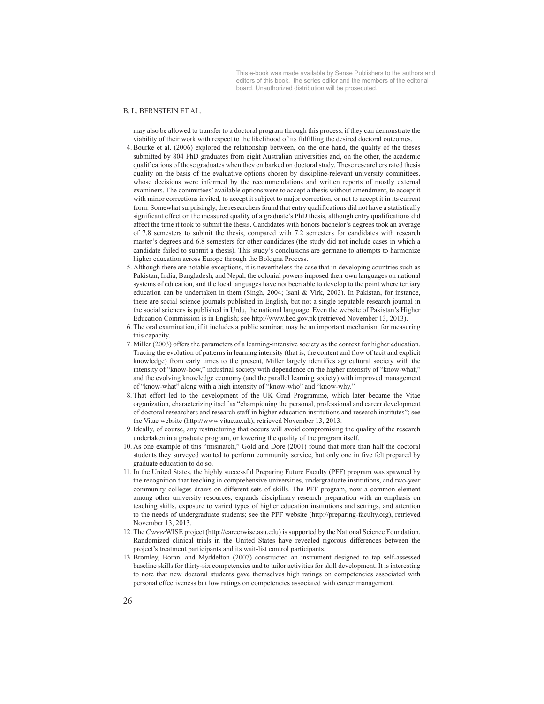#### B. L. BERNSTEIN ET AL.

may also be allowed to transfer to a doctoral program through this process, if they can demonstrate the viability of their work with respect to the likelihood of its fulfilling the desired doctoral outcomes.

- 4. Bourke et al. (2006) explored the relationship between, on the one hand, the quality of the theses submitted by 804 PhD graduates from eight Australian universities and, on the other, the academic qualifications of those graduates when they embarked on doctoral study. These researchers rated thesis quality on the basis of the evaluative options chosen by discipline-relevant university committees, whose decisions were informed by the recommendations and written reports of mostly external examiners. The committees' available options were to accept a thesis without amendment, to accept it with minor corrections invited, to accept it subject to major correction, or not to accept it in its current form. Somewhat surprisingly, the researchers found that entry qualifications did not have a statistically significant effect on the measured quality of a graduate's PhD thesis, although entry qualifications did affect the time it took to submit the thesis. Candidates with honors bachelor's degrees took an average of 7.8 semesters to submit the thesis, compared with 7.2 semesters for candidates with research master's degrees and 6.8 semesters for other candidates (the study did not include cases in which a candidate failed to submit a thesis). This study's conclusions are germane to attempts to harmonize higher education across Europe through the Bologna Process.
- 5. Although there are notable exceptions, it is nevertheless the case that in developing countries such as Pakistan, India, Bangladesh, and Nepal, the colonial powers imposed their own languages on national systems of education, and the local languages have not been able to develop to the point where tertiary education can be undertaken in them (Singh, 2004; Isani & Virk, 2003). In Pakistan, for instance, there are social science journals published in English, but not a single reputable research journal in the social sciences is published in Urdu, the national language. Even the website of Pakistan's Higher Education Commission is in English; see http://www.hec.gov.pk (retrieved November 13, 2013).
- 6. The oral examination, if it includes a public seminar, may be an important mechanism for measuring this capacity.
- 7. Miller (2003) offers the parameters of a learning-intensive society as the context for higher education. Tracing the evolution of patterns in learning intensity (that is, the content and flow of tacit and explicit knowledge) from early times to the present, Miller largely identifies agricultural society with the intensity of "know-how," industrial society with dependence on the higher intensity of "know-what," and the evolving knowledge economy (and the parallel learning society) with improved management of "know-what" along with a high intensity of "know-who" and "know-why."
- 8. That effort led to the development of the UK Grad Programme, which later became the Vitae organization, characterizing itself as "championing the personal, professional and career development of doctoral researchers and research staff in higher education institutions and research institutes"; see the Vitae website (http://www.vitae.ac.uk), retrieved November 13, 2013.
- 9. Ideally, of course, any restructuring that occurs will avoid compromising the quality of the research undertaken in a graduate program, or lowering the quality of the program itself.
- 10. As one example of this "mismatch," Gold and Dore (2001) found that more than half the doctoral students they surveyed wanted to perform community service, but only one in five felt prepared by graduate education to do so.
- 11. In the United States, the highly successful Preparing Future Faculty (PFF) program was spawned by the recognition that teaching in comprehensive universities, undergraduate institutions, and two-year community colleges draws on different sets of skills. The PFF program, now a common element among other university resources, expands disciplinary research preparation with an emphasis on teaching skills, exposure to varied types of higher education institutions and settings, and attention to the needs of undergraduate students; see the PFF website (http://preparing-faculty.org), retrieved November 13, 2013.
- 12. The *Career*WISE project (http://careerwise.asu.edu) is supported by the National Science Foundation. Randomized clinical trials in the United States have revealed rigorous differences between the project's treatment participants and its wait-list control participants.
- 13. Bromley, Boran, and Myddelton (2007) constructed an instrument designed to tap self-assessed baseline skills for thirty-six competencies and to tailor activities for skill development. It is interesting to note that new doctoral students gave themselves high ratings on competencies associated with personal effectiveness but low ratings on competencies associated with career management.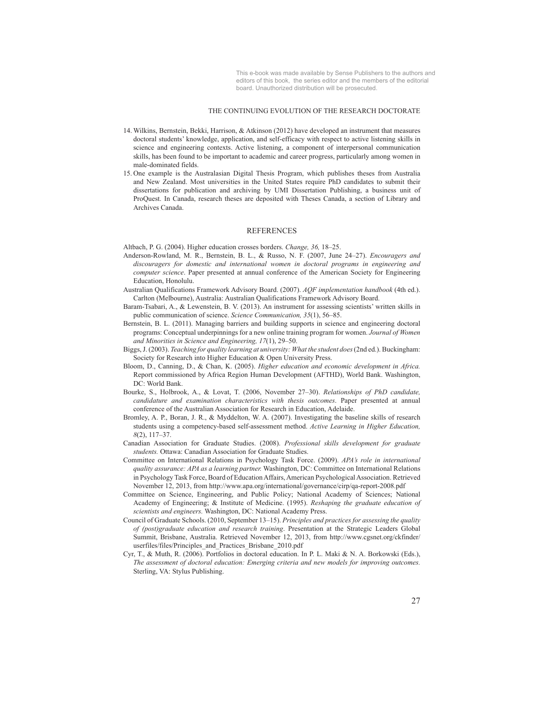#### THE CONTINUING EVOLUTION OF THE RESEARCH DOCTORATE

- 14. Wilkins, Bernstein, Bekki, Harrison, & Atkinson (2012) have developed an instrument that measures doctoral students' knowledge, application, and self-efficacy with respect to active listening skills in science and engineering contexts. Active listening, a component of interpersonal communication skills, has been found to be important to academic and career progress, particularly among women in male-dominated fields.
- 15. One example is the Australasian Digital Thesis Program, which publishes theses from Australia and New Zealand. Most universities in the United States require PhD candidates to submit their dissertations for publication and archiving by UMI Dissertation Publishing, a business unit of ProQuest. In Canada, research theses are deposited with Theses Canada, a section of Library and Archives Canada.

#### REFERENCES

Altbach, P. G. (2004). Higher education crosses borders. *Change, 36,* 18–25.

- Anderson-Rowland, M. R., Bernstein, B. L., & Russo, N. F. (2007, June 24–27). *Encouragers and discouragers for domestic and international women in doctoral programs in engineering and computer science*. Paper presented at annual conference of the American Society for Engineering Education, Honolulu.
- Australian Qualifications Framework Advisory Board. (2007). *AQF implementation handbook* (4th ed.). Carlton (Melbourne), Australia: Australian Qualifications Framework Advisory Board.
- Baram-Tsabari, A., & Lewenstein, B. V. (2013). An instrument for assessing scientists' written skills in public communication of science. *Science Communication, 35*(1), 56–85.
- Bernstein, B. L. (2011). Managing barriers and building supports in science and engineering doctoral programs: Conceptual underpinnings for a new online training program for women. *Journal of Women and Minorities in Science and Engineering, 17*(1), 29–50.
- Biggs, J. (2003). *Teaching for quality learning at university: What the student does* (2nd ed.). Buckingham: Society for Research into Higher Education & Open University Press.
- Bloom, D., Canning, D., & Chan, K. (2005). *Higher education and economic development in Africa.* Report commissioned by Africa Region Human Development (AFTHD), World Bank. Washington, DC: World Bank.
- Bourke, S., Holbrook, A., & Lovat, T. (2006, November 27–30). *Relationships of PhD candidate, candidature and examination characteristics with thesis outcomes*. Paper presented at annual conference of the Australian Association for Research in Education, Adelaide.
- Bromley, A. P., Boran, J. R., & Myddelton, W. A. (2007). Investigating the baseline skills of research students using a competency-based self-assessment method. *Active Learning in Higher Education, 8*(2), 117–37.
- Canadian Association for Graduate Studies. (2008). *Professional skills development for graduate students.* Ottawa: Canadian Association for Graduate Studies.
- Committee on International Relations in Psychology Task Force. (2009). *APA's role in international quality assurance: APA as a learning partner.* Washington, DC: Committee on International Relations in Psychology Task Force, Board of Education Affairs, American Psychological Association. Retrieved November 12, 2013, from http://www.apa.org/international/governance/cirp/qa-report-2008.pdf
- Committee on Science, Engineering, and Public Policy; National Academy of Sciences; National Academy of Engineering; & Institute of Medicine. (1995). *Reshaping the graduate education of scientists and engineers.* Washington, DC: National Academy Press.
- Council of Graduate Schools. (2010, September 13–15). *Principles and practices for assessing the quality of (post)graduate education and research training*. Presentation at the Strategic Leaders Global Summit, Brisbane, Australia. Retrieved November 12, 2013, from http://www.cgsnet.org/ckfinder/ userfiles/files/Principles and Practices Brisbane 2010.pdf
- Cyr, T., & Muth, R. (2006). Portfolios in doctoral education. In P. L. Maki & N. A. Borkowski (Eds.), *The assessment of doctoral education: Emerging criteria and new models for improving outcomes.* Sterling, VA: Stylus Publishing.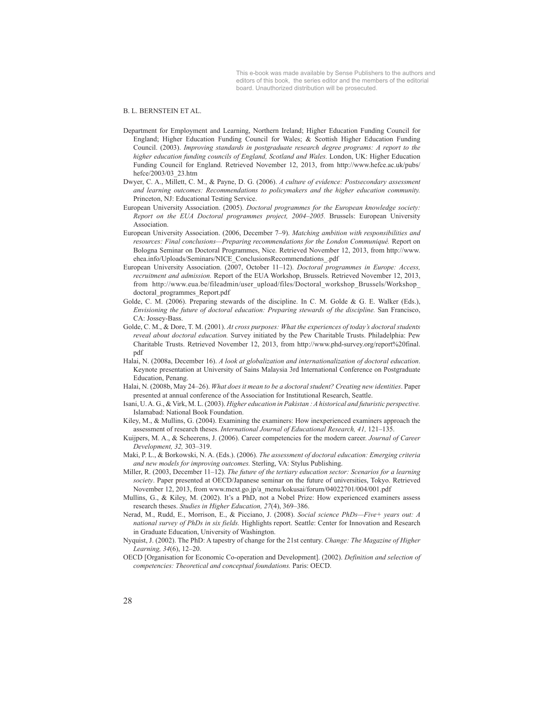#### B. L. BERNSTEIN ET AL.

- Department for Employment and Learning, Northern Ireland; Higher Education Funding Council for England; Higher Education Funding Council for Wales; & Scottish Higher Education Funding Council. (2003). *Improving standards in postgraduate research degree programs: A report to the higher education funding councils of England, Scotland and Wales.* London, UK: Higher Education Funding Council for England. Retrieved November 12, 2013, from http://www.hefce.ac.uk/pubs/ hefce/2003/03\_23.htm
- Dwyer, C. A., Millett, C. M., & Payne, D. G. (2006). *A culture of evidence: Postsecondary assessment and learning outcomes: Recommendations to policymakers and the higher education community.* Princeton, NJ: Educational Testing Service.
- European University Association. (2005). *Doctoral programmes for the European knowledge society: Report on the EUA Doctoral programmes project, 2004–2005.* Brussels: European University Association.
- European University Association. (2006, December 7–9). *Matching ambition with responsibilities and resources: Final conclusions—Preparing recommendations for the London Communiqué.* Report on Bologna Seminar on Doctoral Programmes, Nice. Retrieved November 12, 2013, from http://www. ehea.info/Uploads/Seminars/NICE\_ConclusionsRecommendations\_.pdf
- European University Association. (2007, October 11–12). *Doctoral programmes in Europe: Access, recruitment and admission.* Report of the EUA Workshop, Brussels. Retrieved November 12, 2013, from http://www.eua.be/fileadmin/user\_upload/files/Doctoral\_workshop\_Brussels/Workshop\_ doctoral\_programmes\_Report.pdf
- Golde, C. M. (2006). Preparing stewards of the discipline. In C. M. Golde & G. E. Walker (Eds.), *Envisioning the future of doctoral education: Preparing stewards of the discipline.* San Francisco, CA: Jossey-Bass.
- Golde, C. M., & Dore, T. M. (2001). *At cross purposes: What the experiences of today's doctoral students reveal about doctoral education.* Survey initiated by the Pew Charitable Trusts. Philadelphia: Pew Charitable Trusts. Retrieved November 12, 2013, from http://www.phd-survey.org/report%20final. pdf
- Halai, N. (2008a, December 16). *A look at globalization and internationalization of doctoral education*. Keynote presentation at University of Sains Malaysia 3rd International Conference on Postgraduate Education, Penang.
- Halai, N. (2008b, May 24–26). *What does it mean to be a doctoral student? Creating new identities*. Paper presented at annual conference of the Association for Institutional Research, Seattle.
- Isani, U. A. G., & Virk, M. L. (2003). *Higher education in Pakistan : A historical and futuristic perspective.* Islamabad: National Book Foundation.
- Kiley, M., & Mullins, G. (2004). Examining the examiners: How inexperienced examiners approach the assessment of research theses. *International Journal of Educational Research, 41,* 121–135.
- Kuijpers, M. A., & Scheerens, J. (2006). Career competencies for the modern career. *Journal of Career Development, 32,* 303–319.
- Maki, P. L., & Borkowski, N. A. (Eds.). (2006). *The assessment of doctoral education: Emerging criteria and new models for improving outcomes.* Sterling, VA: Stylus Publishing.
- Miller, R. (2003, December 11–12). *The future of the tertiary education sector: Scenarios for a learning society*. Paper presented at OECD/Japanese seminar on the future of universities, Tokyo. Retrieved November 12, 2013, from www.mext.go.jp/a\_menu/kokusai/forum/04022701/004/001.pdf
- Mullins, G., & Kiley, M. (2002). It's a PhD, not a Nobel Prize: How experienced examiners assess research theses. *Studies in Higher Education, 27*(4), 369–386.
- Nerad, M., Rudd, E., Morrison, E., & Picciano, J. (2008). *Social science PhDs—Five+ years out: A national survey of PhDs in six fields.* Highlights report. Seattle: Center for Innovation and Research in Graduate Education, University of Washington.
- Nyquist, J. (2002). The PhD: A tapestry of change for the 21st century. *Change: The Magazine of Higher Learning, 34*(6), 12–20.
- OECD [Organisation for Economic Co-operation and Development]. (2002). *Definition and selection of competencies: Theoretical and conceptual foundations.* Paris: OECD.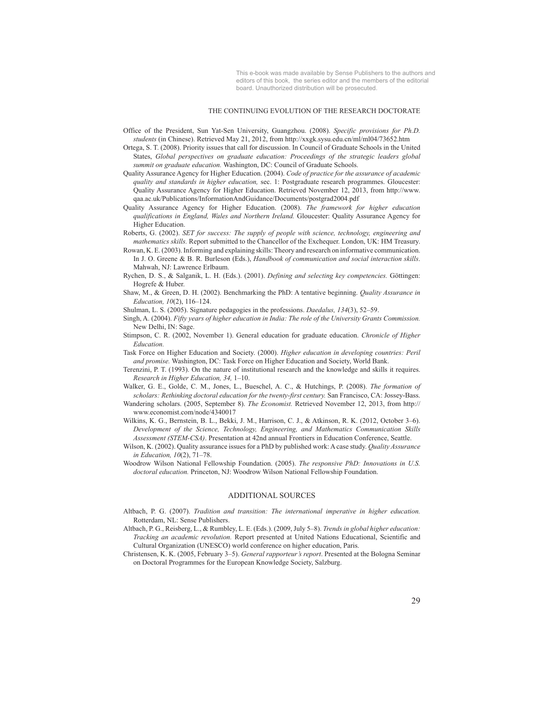#### THE CONTINUING EVOLUTION OF THE RESEARCH DOCTORATE

- Office of the President, Sun Yat-Sen University, Guangzhou. (2008). *Specific provisions for Ph.D. students* (in Chinese). Retrieved May 21, 2012, from http://xxgk.sysu.edu.cn/ml/ml04/73652.htm
- Ortega, S. T. (2008). Priority issues that call for discussion. In Council of Graduate Schools in the United States, *Global perspectives on graduate education: Proceedings of the strategic leaders global summit on graduate education.* Washington, DC: Council of Graduate Schools.
- Quality Assurance Agency for Higher Education. (2004). *Code of practice for the assurance of academic quality and standards in higher education,* sec. 1: Postgraduate research programmes. Gloucester: Quality Assurance Agency for Higher Education. Retrieved November 12, 2013, from http://www. qaa.ac.uk/Publications/InformationAndGuidance/Documents/postgrad2004.pdf
- Quality Assurance Agency for Higher Education. (2008). *The framework for higher education qualifications in England, Wales and Northern Ireland.* Gloucester: Quality Assurance Agency for Higher Education.
- Roberts, G. (2002). *SET for success: The supply of people with science, technology, engineering and mathematics skills.* Report submitted to the Chancellor of the Exchequer. London, UK: HM Treasury.
- Rowan, K. E. (2003). Informing and explaining skills: Theory and research on informative communication. In J. O. Greene & B. R. Burleson (Eds.), *Handbook of communication and social interaction skills*. Mahwah, NJ: Lawrence Erlbaum.
- Rychen, D. S., & Salganik, L. H. (Eds.). (2001). *Defining and selecting key competencies.* Göttingen: Hogrefe & Huber.
- Shaw, M., & Green, D. H. (2002). Benchmarking the PhD: A tentative beginning. *Quality Assurance in Education, 10*(2), 116–124.
- Shulman, L. S. (2005). Signature pedagogies in the professions. *Daedalus, 134*(3), 52–59.
- Singh, A. (2004). *Fifty years of higher education in India: The role of the University Grants Commission.* New Delhi, IN: Sage.
- Stimpson, C. R. (2002, November 1). General education for graduate education. *Chronicle of Higher Education.*
- Task Force on Higher Education and Society. (2000). *Higher education in developing countries: Peril and promise.* Washington, DC: Task Force on Higher Education and Society, World Bank.
- Terenzini, P. T. (1993). On the nature of institutional research and the knowledge and skills it requires. *Research in Higher Education, 34,* 1–10.
- Walker, G. E., Golde, C. M., Jones, L., Bueschel, A. C., & Hutchings, P. (2008). *The formation of scholars: Rethinking doctoral education for the twenty-first century.* San Francisco, CA: Jossey-Bass.
- Wandering scholars. (2005, September 8). *The Economist.* Retrieved November 12, 2013, from http:// www.economist.com/node/4340017
- Wilkins, K. G., Bernstein, B. L., Bekki, J. M., Harrison, C. J., & Atkinson, R. K. (2012, October 3–6). *Development of the Science, Technology, Engineering, and Mathematics Communication Skills Assessment (STEM-CSA)*. Presentation at 42nd annual Frontiers in Education Conference, Seattle.
- Wilson, K. (2002). Quality assurance issues for a PhD by published work: A case study. *Quality Assurance in Education, 10*(2), 71–78.
- Woodrow Wilson National Fellowship Foundation. (2005). *The responsive PhD: Innovations in U.S. doctoral education.* Princeton, NJ: Woodrow Wilson National Fellowship Foundation.

#### ADDITIONAL SOURCES

- Altbach, P. G. (2007). *Tradition and transition: The international imperative in higher education.* Rotterdam, NL: Sense Publishers.
- Altbach, P. G., Reisberg, L., & Rumbley, L. E. (Eds.). (2009, July 5–8). *Trends in global higher education: Tracking an academic revolution.* Report presented at United Nations Educational, Scientific and Cultural Organization (UNESCO) world conference on higher education, Paris.
- Christensen, K. K. (2005, February 3–5). *General rapporteur's report*. Presented at the Bologna Seminar on Doctoral Programmes for the European Knowledge Society, Salzburg.